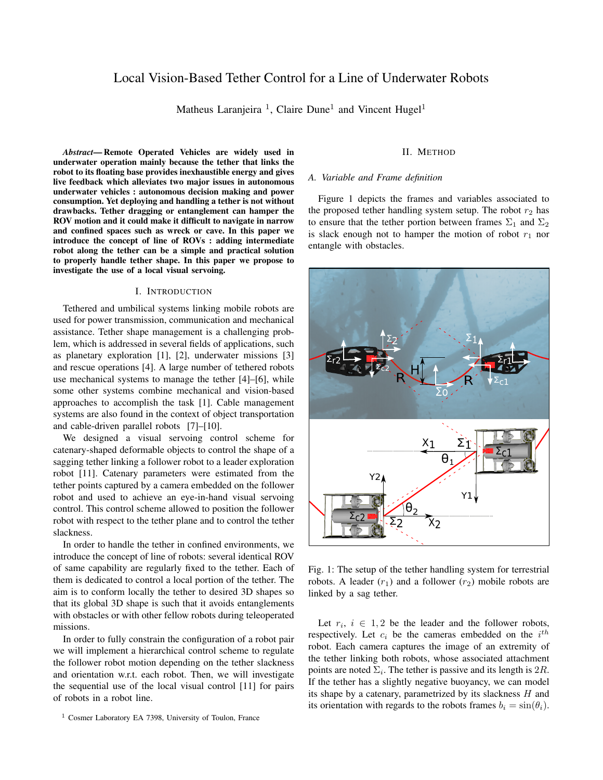# Local Vision-Based Tether Control for a Line of Underwater Robots

Matheus Laranjeira<sup>1</sup>, Claire Dune<sup>1</sup> and Vincent Hugel<sup>1</sup>

*Abstract*— Remote Operated Vehicles are widely used in underwater operation mainly because the tether that links the robot to its floating base provides inexhaustible energy and gives live feedback which alleviates two major issues in autonomous underwater vehicles : autonomous decision making and power consumption. Yet deploying and handling a tether is not without drawbacks. Tether dragging or entanglement can hamper the ROV motion and it could make it difficult to navigate in narrow and confined spaces such as wreck or cave. In this paper we introduce the concept of line of ROVs : adding intermediate robot along the tether can be a simple and practical solution to properly handle tether shape. In this paper we propose to investigate the use of a local visual servoing.

# I. INTRODUCTION

Tethered and umbilical systems linking mobile robots are used for power transmission, communication and mechanical assistance. Tether shape management is a challenging problem, which is addressed in several fields of applications, such as planetary exploration [1], [2], underwater missions [3] and rescue operations [4]. A large number of tethered robots use mechanical systems to manage the tether [4]–[6], while some other systems combine mechanical and vision-based approaches to accomplish the task [1]. Cable management systems are also found in the context of object transportation and cable-driven parallel robots [7]–[10].

We designed a visual servoing control scheme for catenary-shaped deformable objects to control the shape of a sagging tether linking a follower robot to a leader exploration robot [11]. Catenary parameters were estimated from the tether points captured by a camera embedded on the follower robot and used to achieve an eye-in-hand visual servoing control. This control scheme allowed to position the follower robot with respect to the tether plane and to control the tether slackness.

In order to handle the tether in confined environments, we introduce the concept of line of robots: several identical ROV of same capability are regularly fixed to the tether. Each of them is dedicated to control a local portion of the tether. The aim is to conform locally the tether to desired 3D shapes so that its global 3D shape is such that it avoids entanglements with obstacles or with other fellow robots during teleoperated missions.

In order to fully constrain the configuration of a robot pair we will implement a hierarchical control scheme to regulate the follower robot motion depending on the tether slackness and orientation w.r.t. each robot. Then, we will investigate the sequential use of the local visual control [11] for pairs of robots in a robot line.

# II. METHOD

## *A. Variable and Frame definition*

Figure 1 depicts the frames and variables associated to the proposed tether handling system setup. The robot  $r_2$  has to ensure that the tether portion between frames  $\Sigma_1$  and  $\Sigma_2$ is slack enough not to hamper the motion of robot  $r_1$  nor entangle with obstacles.



Fig. 1: The setup of the tether handling system for terrestrial robots. A leader  $(r_1)$  and a follower  $(r_2)$  mobile robots are linked by a sag tether.

Let  $r_i$ ,  $i \in 1,2$  be the leader and the follower robots, respectively. Let  $c_i$  be the cameras embedded on the  $i^{th}$ robot. Each camera captures the image of an extremity of the tether linking both robots, whose associated attachment points are noted  $\Sigma_i$ . The tether is passive and its length is 2R. If the tether has a slightly negative buoyancy, we can model its shape by a catenary, parametrized by its slackness  $H$  and its orientation with regards to the robots frames  $b_i = \sin(\theta_i)$ .

<sup>&</sup>lt;sup>1</sup> Cosmer Laboratory EA 7398, University of Toulon, France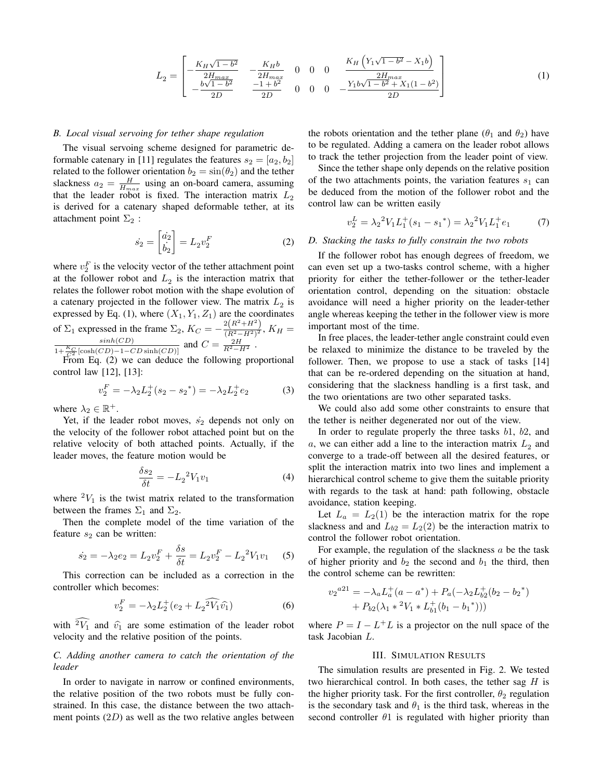$$
L_2 = \begin{bmatrix} -\frac{K_H \sqrt{1 - b^2}}{2H_{max}} & -\frac{K_H b}{2H_{max}} & 0 & 0 & 0 & \frac{K_H (Y_1 \sqrt{1 - b^2} - X_1 b)}{2H_{max}} \\ -\frac{b\sqrt{1 - b^2}}{2D} & -\frac{1 + b^2}{2D} & 0 & 0 & 0 & -\frac{Y_1 b\sqrt{1 - b^2} + X_1 (1 - b^2)}{2D} \end{bmatrix}
$$
(1)

#### *B. Local visual servoing for tether shape regulation*

The visual servoing scheme designed for parametric deformable catenary in [11] regulates the features  $s_2 = [a_2, b_2]$ related to the follower orientation  $b_2 = \sin(\theta_2)$  and the tether slackness  $a_2 = \frac{H}{H_{max}}$  using an on-board camera, assuming that the leader robot is fixed. The interaction matrix  $L_2$ is derived for a catenary shaped deformable tether, at its attachment point  $\Sigma_2$ :

$$
\dot{s}_2 = \begin{bmatrix} \dot{a}_2 \\ \dot{b}_2 \end{bmatrix} = L_2 v_2^F \tag{2}
$$

where  $v_2^F$  is the velocity vector of the tether attachment point at the follower robot and  $L_2$  is the interaction matrix that relates the follower robot motion with the shape evolution of a catenary projected in the follower view. The matrix  $L_2$  is expressed by Eq. (1), where  $(X_1, Y_1, Z_1)$  are the coordinates of  $\Sigma_1$  expressed in the frame  $\Sigma_2$ ,  $K_C = -\frac{2(R^2 + H^2)}{(R^2 - H^2)^2}$  $\frac{Z(H+H)}{(R^2-H^2)^2}$ ,  $K_H =$  $\frac{\sinh(CD)}{1+\frac{K_C}{C^2}[\cosh(CD)-1-CD\sinh(CD)]}$  and  $C = \frac{2H}{R^2-H^2}$ .

From Eq. (2) we can deduce the following proportional control law [12], [13]:

$$
v_2^F = -\lambda_2 L_2^+(s_2 - s_2^*) = -\lambda_2 L_2^+ e_2 \tag{3}
$$

where  $\lambda_2 \in \mathbb{R}^+$ .

Yet, if the leader robot moves,  $\dot{s}_2$  depends not only on the velocity of the follower robot attached point but on the relative velocity of both attached points. Actually, if the leader moves, the feature motion would be

$$
\frac{\delta s_2}{\delta t} = -L_2^2 V_1 v_1 \tag{4}
$$

where  ${}^{2}V_1$  is the twist matrix related to the transformation between the frames  $\Sigma_1$  and  $\Sigma_2$ .

Then the complete model of the time variation of the feature  $s_2$  can be written:

$$
\dot{s}_2 = -\lambda_2 e_2 = L_2 v_2^F + \frac{\delta s}{\delta t} = L_2 v_2^F - L_2^2 V_1 v_1 \tag{5}
$$

This correction can be included as a correction in the controller which becomes:

$$
v_2^F = -\lambda_2 L_2^+(e_2 + L_2^2 \widehat{V_1} \widehat{v_1})
$$
 (6)

with  $2\hat{V}_1$  and  $\hat{v}_1$  are some estimation of the leader robot velocity and the relative position of the points.

# *C. Adding another camera to catch the orientation of the leader*

In order to navigate in narrow or confined environments, the relative position of the two robots must be fully constrained. In this case, the distance between the two attachment points  $(2D)$  as well as the two relative angles between the robots orientation and the tether plane ( $\theta_1$  and  $\theta_2$ ) have to be regulated. Adding a camera on the leader robot allows to track the tether projection from the leader point of view.

Since the tether shape only depends on the relative position of the two attachments points, the variation features  $s_1$  can be deduced from the motion of the follower robot and the control law can be written easily

$$
v_2^L = \lambda_2^2 V_1 L_1^+(s_1 - s_1^*) = \lambda_2^2 V_1 L_1^+ e_1 \tag{7}
$$

#### *D. Stacking the tasks to fully constrain the two robots*

If the follower robot has enough degrees of freedom, we can even set up a two-tasks control scheme, with a higher priority for either the tether-follower or the tether-leader orientation control, depending on the situation: obstacle avoidance will need a higher priority on the leader-tether angle whereas keeping the tether in the follower view is more important most of the time.

In free places, the leader-tether angle constraint could even be relaxed to minimize the distance to be traveled by the follower. Then, we propose to use a stack of tasks [14] that can be re-ordered depending on the situation at hand, considering that the slackness handling is a first task, and the two orientations are two other separated tasks.

We could also add some other constraints to ensure that the tether is neither degenerated nor out of the view.

In order to regulate properly the three tasks b1, b2, and a, we can either add a line to the interaction matrix  $L_2$  and converge to a trade-off between all the desired features, or split the interaction matrix into two lines and implement a hierarchical control scheme to give them the suitable priority with regards to the task at hand: path following, obstacle avoidance, station keeping.

Let  $L_a = L_2(1)$  be the interaction matrix for the rope slackness and and  $L_{b2} = L_2(2)$  be the interaction matrix to control the follower robot orientation.

For example, the regulation of the slackness  $a$  be the task of higher priority and  $b_2$  the second and  $b_1$  the third, then the control scheme can be rewritten:

$$
v_2^{a21} = -\lambda_a L_a^+(a - a^*) + P_a(-\lambda_2 L_{b2}^+(b_2 - b_2^*)
$$
  
+  $P_{b2}(\lambda_1 * ^2V_1 * L_{b1}^+(b_1 - b_1^*)))$ 

where  $P = I - L^{+}L$  is a projector on the null space of the task Jacobian L.

## III. SIMULATION RESULTS

The simulation results are presented in Fig. 2. We tested two hierarchical control. In both cases, the tether sag  $H$  is the higher priority task. For the first controller,  $\theta_2$  regulation is the secondary task and  $\theta_1$  is the third task, whereas in the second controller  $\theta$ 1 is regulated with higher priority than